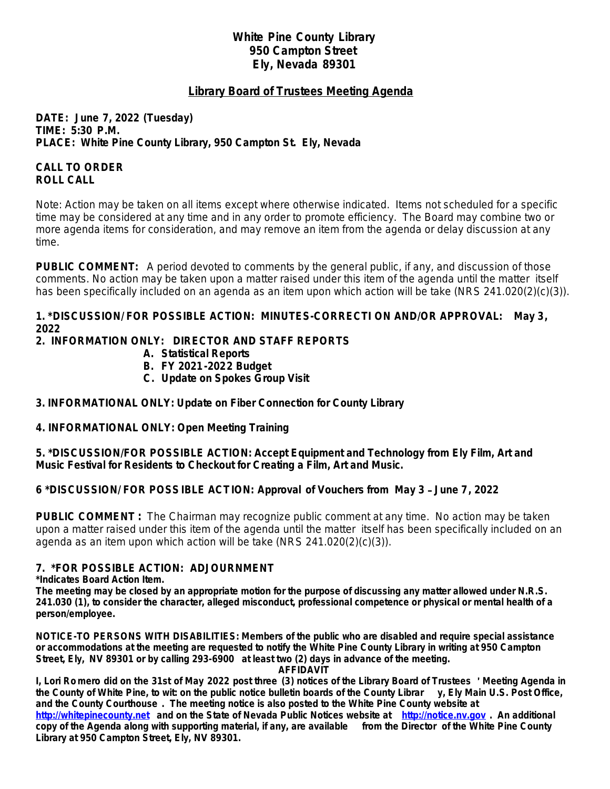#### **White Pine County Library 950 Campton Street Ely, Nevada 89301**

## **Library Board of Trustees Meeting Agenda**

**DATE: June 7, 2022 (***Tuesday)* **TIME: 5:30 P.M. PLACE: White Pine County Library, 950 Campton St. Ely, Nevada**

## **CALL TO ORDER ROLL CALL**

Note: Action may be taken on all items except where otherwise indicated. Items not scheduled for a specific time may be considered at any time and in any order to promote efficiency. The Board may combine two or more agenda items for consideration, and may remove an item from the agenda or delay discussion at any time.

**PUBLIC COMMENT:** A period devoted to comments by the general public, if any, and discussion of those comments. No action may be taken upon a matter raised under this item of the agenda until the matter itself has been specifically included on an agenda as an item upon which action will be take (NRS 241.020(2)(c)(3)).

#### **1. \*DISCUSSION/ FOR POSSIBLE ACTION: MINUTES-CORRECTI ON AND/OR APPROVAL: May 3, 2022**

## **2. INFORMATION ONLY: DIRECTOR AND STAFF REPORTS**

- **A. Statistical Reports**
- **B. FY 2021-2022 Budget**
- **C. Update on Spokes Group Visit**

# **3. INFORMATIONAL ONLY: Update on Fiber Connection for County Library**

**4. INFORMATIONAL ONLY: Open Meeting Training**

**5. \*DISCUSSION/FOR POSSIBLE ACTION: Accept Equipment and Technology from Ely Film, Art and Music Festival for Residents to Checkout for Creating a Film, Art and Music.** 

# **6 \*DISCUSSION/ FOR POSSIBLE ACTION: Approval of Vouchers from May 3** – **June 7, 2022**

**PUBLIC COMMENT :** The Chairman may recognize public comment at any time. No action may be taken upon a matter raised under this item of the agenda until the matter itself has been specifically included on an agenda as an item upon which action will be take (NRS 241.020(2)(c)(3)).

#### **7. \*FOR POSSIBLE ACTION: ADJOURNMENT**

**\*Indicates Board Action Item.**

**The meeting may be closed by an appropriate motion for the purpose of discussing any matter allowed under N.R.S. 241.030 (1), to consider the character, alleged misconduct, professional competence or physical or mental health of a person/employee.**

**NOTICE-TO PERSONS WITH DISABILITIES: Members of the public who are disabled and require special assistance or accommodations at the meeting are requested to notify the White Pine County Library in writing at 950 Campton Street, Ely, NV 89301 or by calling 293-6900 at least two (2) days in advance of the meeting.**

#### **AFFIDAVIT**

**I, Lori Romero did on the 31st of May 2022 post three (3) notices of the Library Board of Trustees** ' **Meeting Agenda in the County of White Pine, to wit: on the public notice bulletin boards of the County Librar y, Ely Main U.S. Post Office, and the County Courthouse . The meeting notice is also posted to the White Pine County website at <http://whitepinecounty.net>and on the State of Nevada Public Notices website at <http://notice.nv.gov> . An additional** 

**copy of the Agenda along with supporting material, if any, are available from the Director of the White Pine County Library at 950 Campton Street, Ely, NV 89301.**